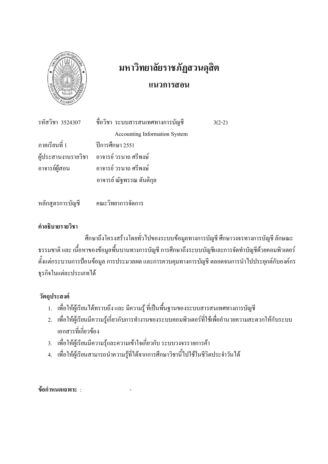

# มหาวิทยาลัยราชภัฏสวนดุสิต แนวการสอน

|                                    | รหัสวิชา 3524307 - ชื่อวิชา ระบบสารสนเทศทางการบัญชี | $3(2-2)$ |
|------------------------------------|-----------------------------------------------------|----------|
|                                    | <b>Accounting Information System</b>                |          |
| ภาคเรียนที่ 1 ปีการศึกษา 2551      |                                                     |          |
|                                    | ผู้ประสานงานรายวิชา อาจารย์ วรนาถ ศรีพงษ์           |          |
|                                    | อาจารย์ผู้สอน อาจารย์ วรนาถ ศรีพงษ์                 |          |
|                                    | อาจารย์ ณัฐพรรณ ตันติกุล                            |          |
|                                    |                                                     |          |
| หลักสูตรการบัญชี คณะวิทยาการจัดการ |                                                     |          |

# คำอธิบายรายวิชา

้ศึกษาถึงโครงสร้างโดยทั่วไปของระบบข้อมูลทางการบัญชี ศึกษาวงจรทางการบัญชี ลักษณะ ุ ธรรมชาติ และ เนื้อหาของข้อมูลพื้นบานทางการบัญชี การศึกษาถึงระบบบัญชีและการจัดทำบัญชีด้วยคอมพิวเตอร์ ้ตั้งแต่กระบวนการป้อนข้อมูล การประมวลผล และการควบคุมทางการบัญชี ตลอดจนการนำไปประยุกต์กับองค์กร ธุรกิจในแต่ละประเภทได้

## วัตถุประสงค์

- 1. เพื่อให้ผู้เรียนได้ทราบถึง และ มีความรู้ ที่เป็นพื้นฐานของระบบสารสนเทศทางการบัญชี
- 2. เพื่อให้ผู้เรียนมีความรู้เกี่ยวกับการทำงานของระบบคอมพิวเตอร์ที่ใช้เพื่ออำนวยความสะดวกให้กับระบบ เอกสารที่เกี่ยวข้อง
- 3. เพื่อให้ผู้เรียนมีความรู้และความเข้าใจเกี่ยวกับ ระบบวงจรรายการค้า
- 4. เพื่อให้ผู้เรียนสามารถนำความรู้ที่ได้จากการศึกษาวิชานี้ไปใช้ในชีวิตประจำวันได้

ข้อกำหนดเฉพาะ :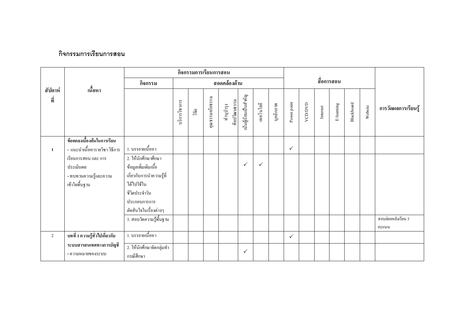## กิจกรรมการเรียนการสอน

|                |                                |                          |               |      | กิจกรรมการเรียนการสอน |                           |                       |              |           |              |         |          |           |            |         |                     |
|----------------|--------------------------------|--------------------------|---------------|------|-----------------------|---------------------------|-----------------------|--------------|-----------|--------------|---------|----------|-----------|------------|---------|---------------------|
| เนื้อหา        |                                | กิจกรรม                  | สอดคล้องด้าน  |      |                       |                           |                       |              |           | สื่อการสอน   |         |          |           |            |         |                     |
| สัปดาห์<br>ที่ |                                |                          | บริการวิชาการ | ាំមិ | คุณธรรมจริยธรรม       | ศิลปวัฒนธรรม<br>ทำนุบำรุง | เน้นผู้เรียนเป็นสำคัญ | เทคโนโลยี    | บุคลิกภาพ | Power point  | VCD/DVD | Internet | E-leaming | Blackboard | Website | การวัดผลการเรียนรู้ |
|                | ข้อตกลงเบื้องต้นในการเรียน     |                          |               |      |                       |                           |                       |              |           |              |         |          |           |            |         |                     |
| $\mathbf{1}$   | - แนะนำเนื้อหารายวิชา วิธีการ  | 1. บรรยายเนื้อหา         |               |      |                       |                           |                       |              |           | $\checkmark$ |         |          |           |            |         |                     |
|                | เรียนการสอน และ การ            | 2. ให้นักศึกษาศึกษา      |               |      |                       |                           |                       |              |           |              |         |          |           |            |         |                     |
|                | ประเมินผล                      | ข้อมูลเพิ่มเติมเนื้อ     |               |      |                       |                           | $\checkmark$          | $\checkmark$ |           |              |         |          |           |            |         |                     |
|                | - ทบทวนความรู้และความ          | เกี่ยวกับการนำความรู้ที่ |               |      |                       |                           |                       |              |           |              |         |          |           |            |         |                     |
|                | เข้าใจพื้นฐาน                  | ได้ไปใช้ใน               |               |      |                       |                           |                       |              |           |              |         |          |           |            |         |                     |
|                |                                | ชีวิตประจำวัน            |               |      |                       |                           |                       |              |           |              |         |          |           |            |         |                     |
|                |                                | ประกอบการการ             |               |      |                       |                           |                       |              |           |              |         |          |           |            |         |                     |
|                |                                | ตัดสินใจในเรื่องต่างๆ    |               |      |                       |                           |                       |              |           |              |         |          |           |            |         |                     |
|                |                                | 3. สอบวัดความรู้พื้นฐาน  |               |      |                       |                           |                       |              |           |              |         |          |           |            |         | สอบย่อยหลังเรียน 5  |
|                |                                |                          |               |      |                       |                           |                       |              |           |              |         |          |           |            |         | คะแนน               |
| $\overline{2}$ | บทที่ 1 ความรู้ทั่วไปเกี่ยวกับ | 1. บรรยายเนื้อหา         |               |      |                       |                           |                       |              |           | $\checkmark$ |         |          |           |            |         |                     |
|                | ระบบสารสนเทศทางการบัญชี        | 2. ให้นักศึกษาจัดกลุ่มทำ |               |      |                       |                           | $\checkmark$          |              |           |              |         |          |           |            |         |                     |
|                | - ความหมายของระบบ              | กรณีศึกษา                |               |      |                       |                           |                       |              |           |              |         |          |           |            |         |                     |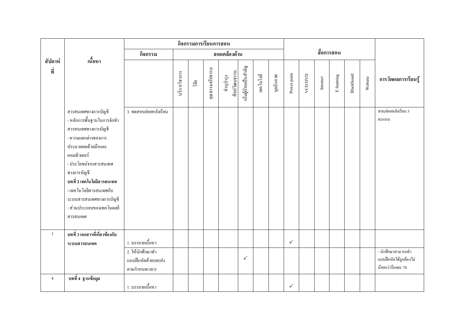|                |                                                                                                                                                                                                                                                                                                             | กิจกรรมการเรียนการสอน                                     |     |                 |                           |                       |              |           |             |              |                         |           |            |         |                     |                                                                   |
|----------------|-------------------------------------------------------------------------------------------------------------------------------------------------------------------------------------------------------------------------------------------------------------------------------------------------------------|-----------------------------------------------------------|-----|-----------------|---------------------------|-----------------------|--------------|-----------|-------------|--------------|-------------------------|-----------|------------|---------|---------------------|-------------------------------------------------------------------|
|                | เนื้อหา                                                                                                                                                                                                                                                                                                     | กิจกรรม                                                   |     |                 |                           | สอดคล้องด้าน          |              |           |             |              |                         |           | สื่อการสอน |         |                     |                                                                   |
| สัปดาห์<br>ที่ |                                                                                                                                                                                                                                                                                                             | บริการวิชาการ                                             | ີາຍ | คุณธรรมจริยธรรม | ศิลปวัฒนธรรม<br>ทำนุบำรุง | นั้นผู้เรียนเป็นสำคัญ | เทคโนโลยี    | บุคลิกภาพ | Power point | VCD/DVD      | $\label{eq:1}$ Internet | E-leaming | Blackboard | Website | การวัดผลการเรียนรู้ |                                                                   |
|                | สารสนเทศทางการบัญชี<br>- หลักการพื้นฐานในการจักทำ<br>สารสนเทศทางการบัญชี<br>- ความแตกต่างของการ<br>ประมวลผลด้วยมือและ<br>คอมพิวเตอร์<br>- ประ โยชน์จากสารสนเทศ<br>ทางการบัญชี<br>ิบทที่ 2 เทคโนโลยีสารสนเทศ<br>- เทค โน โลยีสารสนเทศกับ<br>ระบบสารสนเทศทางการบัญชี<br>- ส่วนประกอบของเทค โนคลยี<br>สารสนเทศ | 3. ทคสอบย่อยหลังเรียน                                     |     |                 |                           |                       |              |           |             |              |                         |           |            |         |                     | สอบย่อยหลังเรียน 5<br>คะแนน                                       |
| $\mathfrak{Z}$ | บทที่ 3 เอกสารที่เกี่ยวข้องกับ<br>ระบบสารสนเทศ                                                                                                                                                                                                                                                              | 1. บรรยายเนื้อหา                                          |     |                 |                           |                       |              |           |             | $\checkmark$ |                         |           |            |         |                     |                                                                   |
|                |                                                                                                                                                                                                                                                                                                             | 2. ให้นักศึกษาทำ<br>แบบฝึกหัดท้ายบท(ส่ง<br>ิตามกำหนดเวลา) |     |                 |                           |                       | $\checkmark$ |           |             |              |                         |           |            |         |                     | - นักศึกษาสามารถทำ<br>แบบฝึกหัดได้ถูกต้องไม่<br>น้อยกว่าร้อยละ 70 |
| $\overline{4}$ | บทที่ 4 ฐานข้อมูล                                                                                                                                                                                                                                                                                           | 1. บรรยายเนื้อหา                                          |     |                 |                           |                       |              |           |             | $\checkmark$ |                         |           |            |         |                     |                                                                   |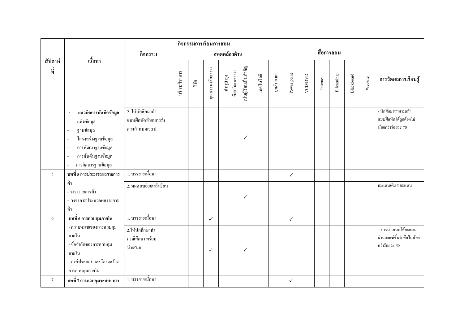| สัปดาห์        |                                                                                                                                                                                                                                             | กิจกรรม                                                  |               |       |                 | สอดคล้องด้าน              |                       |           |           |              |         |          | สื่อการสอน |            |         |                                                                    |
|----------------|---------------------------------------------------------------------------------------------------------------------------------------------------------------------------------------------------------------------------------------------|----------------------------------------------------------|---------------|-------|-----------------|---------------------------|-----------------------|-----------|-----------|--------------|---------|----------|------------|------------|---------|--------------------------------------------------------------------|
| ที่<br>$\sim$  | ้เนื้อหา                                                                                                                                                                                                                                    |                                                          | บริการวิชาการ | วิจัย | คุณธรรมจริยธรรม | ศิลปวัฒนธรรม<br>ทำนูบำรุง | นั้นผู้เรียนเป็นสำคัญ | เทคโนโลยี | บุคลิกภาพ | Power point  | VCD/DVD | Internet | E-leaming  | Blackboard | Website | การวัดผลการเรียนรู้                                                |
|                | แนวคิดการบันทึกข้อมูล<br>แฟ้มข้อมูล<br>$\overline{\phantom{a}}$<br>ฐานข้อมูล<br>L.<br>โครงสร้างฐานข้อมูล<br>$\overline{a}$<br>การพัฒนาฐานข้อมูล<br>$\sim$<br>การค้นคืนฐานข้อมูล<br>$\sim$<br>การจัดการฐานข้อมูล<br>$\overline{\phantom{a}}$ | 2. ให้นักศึกษาทำ<br>แบบฝึกหัดท้ายบท(ส่ง<br>ตามกำหนดเวลา) |               |       |                 |                           | $\checkmark$          |           |           |              |         |          |            |            |         | - นักศึกษาสามารถทำ<br>แบบฝึกหัดได้ถูกต้องไม่<br>น้อยกว่าร้อยละ 70  |
| 5 <sup>1</sup> | บทที่ 5 การประมวลผลรายการ                                                                                                                                                                                                                   | 1. บรรยายเนื้อหา                                         |               |       |                 |                           |                       |           |           | $\checkmark$ |         |          |            |            |         |                                                                    |
|                | ค้า<br>- วงจรรายการค้า<br>- วงจรการประมวลผลรายการ<br>ค้า                                                                                                                                                                                    | 2. ทดสอบย่อยหลังเรียน                                    |               |       |                 |                           | $\checkmark$          |           |           |              |         |          |            |            |         | คะแนนเต็ม 5 คะแนน                                                  |
| 6              | บทที่ 6 การควบคุมภายใน                                                                                                                                                                                                                      | 1. บรรยายเนื้อหา                                         |               |       | $\checkmark$    |                           |                       |           |           | $\checkmark$ |         |          |            |            |         |                                                                    |
|                | - ความหมายของการควบคุม<br>ภายใน<br>- ข้อจำกัดของการควบคุม<br>ภายใน<br>- องค์ประกอบและ โครงสร้าง<br>การควบคุมภายใน                                                                                                                           | 2.ให้นักศึกษาทำ<br>กรณีศึกษา พร้อม<br>นำเสนอ             |               |       | $\checkmark$    |                           | $\checkmark$          |           |           |              |         |          |            |            |         | - การนำเสนอได้คะแนน<br>ผ่านเกณฑ์ขั้นต่ำคือไม่น้อย<br>กว่าร้อยละ 50 |
| $\tau$         | บทที่ 7 การควบคุมระบบ: การ                                                                                                                                                                                                                  | 1. บรรยายเนื้อหา                                         |               |       |                 |                           |                       |           |           | $\checkmark$ |         |          |            |            |         |                                                                    |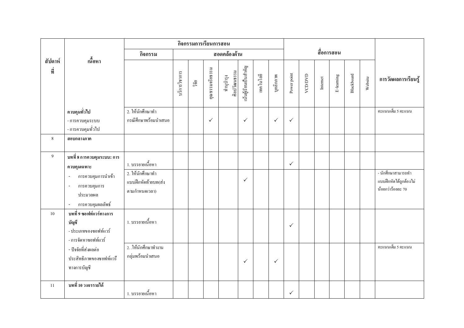|                |                                                                                                                                             | กิจกรรมการเรียนการสอน                                                        |               |     |                 |                           |                       |           |              |              |             |          |           |            |         |                                                                   |
|----------------|---------------------------------------------------------------------------------------------------------------------------------------------|------------------------------------------------------------------------------|---------------|-----|-----------------|---------------------------|-----------------------|-----------|--------------|--------------|-------------|----------|-----------|------------|---------|-------------------------------------------------------------------|
|                | เนื้อหา                                                                                                                                     | กิจกรรม                                                                      |               |     |                 | สอดคล้องด้าน              |                       |           |              |              | สื่อการสอน  |          |           |            |         |                                                                   |
| สัปดาห์<br>ที่ |                                                                                                                                             |                                                                              | บริการวิชาการ | ាំម | คุณธรรมจริยธรรม | ศิลปวัฒนธรรม<br>ทำนุบำรุง | นั้นผู้เรียนเป็นสำคัญ | เทคโนโลยี | บุคลิกภาพ    | Power point  | <b>ANDA</b> | Internet | E-leaming | Blackboard | Website | การวัดผลการเรียนรู้                                               |
|                | ควบคุมทั่วไป                                                                                                                                | 2. ให้นักศึกษาทำ                                                             |               |     |                 |                           |                       |           |              |              |             |          |           |            |         | คะแนนเต็ม 5 คะแนน                                                 |
|                | - การควบคุมระบบ<br>- การควบคุมทั่วไป                                                                                                        | กรณีศึกษาพร้อมนำเสนอ                                                         |               |     | $\checkmark$    |                           | $\checkmark$          |           | $\checkmark$ | $\checkmark$ |             |          |           |            |         |                                                                   |
| $\,8\,$        | สอบกลางภาค                                                                                                                                  |                                                                              |               |     |                 |                           |                       |           |              |              |             |          |           |            |         |                                                                   |
| $\overline{9}$ | บทที่ 8 การควบคุมระบบ: การ<br>ควบคุมเฉพาะ<br>การควบคุมการนำเข้า<br>การควบคุมการ<br>$\sim$<br>ประมวลผล<br>การควบคุมผลลัพธ์<br>$\blacksquare$ | 1. บรรยายเนื้อหา<br>2. ให้นักศึกษาทำ<br>แบบฝึกหัดท้ายบท(ส่ง<br>ตามกำหนดเวลา) |               |     |                 |                           | $\checkmark$          |           |              | $\checkmark$ |             |          |           |            |         | - นักศึกษาสามารถทำ<br>แบบฝึกหัดได้ถูกต้องไม่<br>น้อยกว่าร้อยละ 70 |
| 10             | ้บทที่ 9 ซอฟท์แวร์ทางการ<br>บัญชี<br>- ประเภทของซอฟท์แวร์<br>- การจัดหาซอฟท์แวร์                                                            | 1. บรรยายเนื้อหา                                                             |               |     |                 |                           |                       |           |              | $\checkmark$ |             |          |           |            |         |                                                                   |
|                | - ปัจจัยที่ส่งผลต่อ<br>ประสิทธิภาพของซอฟท์แวรี<br>ทางการบัญชี                                                                               | 2. ให้นักศึกษาทำงาน<br>กลุ่มพร้อมนำเสนอ                                      |               |     |                 |                           | $\checkmark$          |           | $\checkmark$ |              |             |          |           |            |         | คะแนนเต็ม 5 คะแนน                                                 |
| 11             | บทที่ 10 วงจรรายได้                                                                                                                         | 1. บรรยายเนื้อหา                                                             |               |     |                 |                           |                       |           |              | $\checkmark$ |             |          |           |            |         |                                                                   |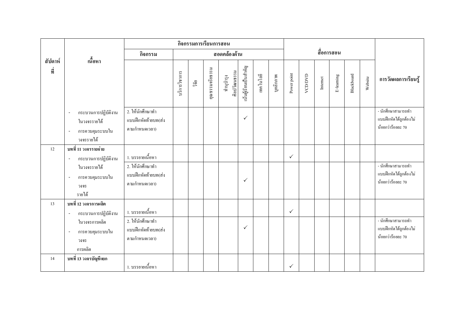|                |                                                                                                                      | กิจกรรมการเรียนการสอน                                                        |               |       |                 |                           |                       |           |           |              |         |          |           |            |         |                                                                      |
|----------------|----------------------------------------------------------------------------------------------------------------------|------------------------------------------------------------------------------|---------------|-------|-----------------|---------------------------|-----------------------|-----------|-----------|--------------|---------|----------|-----------|------------|---------|----------------------------------------------------------------------|
|                | เนื้อหา                                                                                                              | กิจกรรม                                                                      |               |       |                 | สอดคล้องด้าน              |                       |           |           | สื่อการสอน   |         |          |           |            |         |                                                                      |
| สัปดาห์<br>ที่ | $\blacksquare$                                                                                                       |                                                                              | บริการวิชาการ | วิจัย | คุณธรรมจริยธรรม | ศิลปวัฒนธรรม<br>ทำนูบำรุง | นั้นผู้เรียนเป็นสำคัญ | เทคโนโลยี | บุคลิกภาพ | Power point  | VCD/DVD | Internet | E-leaming | Blackboard | Website | การวัดผลการเรียนรู้                                                  |
|                | กระบวนการปฏิบัติงาน<br>ในวงจรรายได้<br>การควบคุมระบบใน<br>วงจรรายได้                                                 | 2. ให้นักศึกษาทำ<br>แบบฝึกหัดท้ายบท(ส่ง<br>ตามกำหนดเวลา)                     |               |       |                 |                           | $\checkmark$          |           |           |              |         |          |           |            |         | - นักศึกษาสามารถทำ<br>แบบฝึกหัดได้ถูกต้องไม่<br>น้อยกว่าร้อยละ 70    |
| 12             | บทที่ 11 วงจรรายจ่าย<br>กระบวนการปฏิบัติงาน<br>$\sim$<br>ในวงจรรายได้<br>การควบคุมระบบใน<br>วงจร<br>รายได้           | 1. บรรยายเนื้อหา<br>2. ให้นักศึกษาทำ<br>แบบฝึกหัดท้ายบท(ส่ง<br>ตามกำหนดเวลา) |               |       |                 |                           | $\checkmark$          |           |           | $\checkmark$ |         |          |           |            |         | - นักศึกษาสามารถทำ<br>แบบฝึกหัดได้ถูกต้องไม่<br>น้อยกว่าร้อยละ 70    |
| 13             | บทที่ 12 วงจรการผลิต<br>กระบวนการปฏิบัติงาน<br>$\blacksquare$<br>ในวงจรการผลิต<br>การควบคุมระบบใน<br>วงจร<br>การผลิต | 1. บรรยายเนื้อหา<br>2. ให้นักศึกษาทำ<br>แบบฝึกหัดท้ายบท(ส่ง<br>ตามกำหนดเวลา) |               |       |                 |                           | $\checkmark$          |           |           | $\checkmark$ |         |          |           |            |         | -<br>นักศึกษาสามารถทำ<br>แบบฝึกหัดได้ถูกต้องไม่<br>น้อยกว่าร้อยละ 70 |
| 14             | ิบทที่ 13 วงจรบัญชีแยก                                                                                               | 1. บรรยายเนื้อหา                                                             |               |       |                 |                           |                       |           |           | $\checkmark$ |         |          |           |            |         |                                                                      |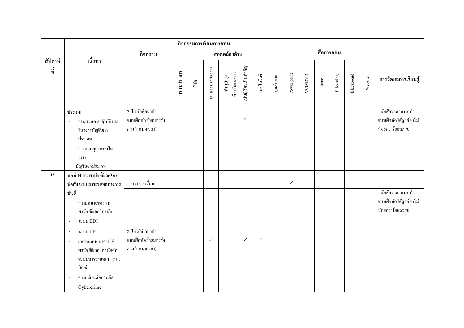|                |                                                                                                                                                                                                                                                                                              | กิจกรรมการเรียนการสอน                                     |               |       |                 |                           |                       |              |           |              |         |          |            |            |         |                                                                   |
|----------------|----------------------------------------------------------------------------------------------------------------------------------------------------------------------------------------------------------------------------------------------------------------------------------------------|-----------------------------------------------------------|---------------|-------|-----------------|---------------------------|-----------------------|--------------|-----------|--------------|---------|----------|------------|------------|---------|-------------------------------------------------------------------|
|                |                                                                                                                                                                                                                                                                                              | กิจกรรม                                                   |               |       |                 | สอดคล้องด้าน              |                       |              |           |              |         |          | สื่อการสอน |            |         |                                                                   |
| สัปดาห์<br>ที่ | เนื้อหา                                                                                                                                                                                                                                                                                      |                                                           | บริการวิชาการ | วิจัย | คุณธรรมจริยธรรม | ศิลปวัฒนธรรม<br>ทำนุบำรุง | นั้นผู้เรียนเป็นสำคัญ | เทคโนโลยี    | บุคลิกภาพ | Power point  | VCD/DVD | Internet | E-leaming  | Blackboard | Website | การวัดผลการเรียนรู้                                               |
|                | ประเภท<br>กระบวนการปฏิบัติงาน<br>$\blacksquare$<br>ในวงจรบัญชีแยก<br>ประเภท<br>การควบคุมระบบใน<br>$\blacksquare$<br>วงจร<br>บัญชีแยกประเภท                                                                                                                                                   | 2. ให้นักศึกษาทำ<br>แบบฝึกหัดท้ายบท(ส่ง<br>ตามกำหนดเวลา)  |               |       |                 |                           | $\checkmark$          |              |           |              |         |          |            |            |         | - นักศึกษาสามารถทำ<br>แบบฝึกหัดใค้ถูกต้องไม่<br>น้อยกว่าร้อยละ 70 |
| 15             | ิบทที่ 14 การพานิชย์อิเลคโทร<br>นิคกับระบบสารสนเทศทางการ                                                                                                                                                                                                                                     | 1. บรรยายเนื้อหา                                          |               |       |                 |                           |                       |              |           | $\checkmark$ |         |          |            |            |         |                                                                   |
|                | บัญชี<br>ความหมายของการ<br>พานิชยื่อิเลคโทรนิค<br>$s$ ະນນ $EDI$<br>$\overline{\phantom{a}}$<br>ระบบ EFT<br>$\overline{\phantom{a}}$<br>ผลกระทบของการใช้<br>$\sim$<br>พานิชยื่อิเลคโทรนิคต่อ<br>ระบบสารสนเทศทางการ<br>บัญชี<br>ความเสี่ยงต่อการเกิด<br>$\overline{\phantom{a}}$<br>Cybercrime | 2. ให้นักศึกษาทำ<br>แบบฝึกหัดท้ายบท(ส่ง<br>ิตามกำหนดเวลา) |               |       | $\checkmark$    |                           | $\checkmark$          | $\checkmark$ |           |              |         |          |            |            |         | - นักศึกษาสามารถทำ<br>แบบฝึกหัดได้ถูกต้องไม่<br>น้อยกว่าร้อยละ 70 |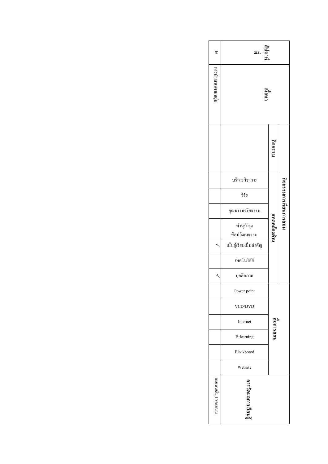| $\overline{5}$    | ที่ปดาห์<br>ತಿ⊥.          |              |                   |
|-------------------|---------------------------|--------------|-------------------|
| เทศแทนเดน และ เ   | inghi                     |              |                   |
|                   |                           | นะรยบ        |                   |
|                   | บริการวิชาการ             |              |                   |
|                   | วิจัย                     |              |                   |
|                   | คุณธรรมจริยธรรม           |              | คอนนารเรียนการสอน |
|                   | ทำนุบำรุง<br>ศิลปวัฒนธรรม | เทศเอลลิคจล์ |                   |
|                   | เน้นผู้เรียนเป็นสำคัญ     |              |                   |
|                   | เทคโนโลยี                 |              |                   |
|                   | บุคลิกภาพ                 |              |                   |
|                   | Power point               |              |                   |
|                   | VCD/DVD                   |              |                   |
|                   | Internet                  | นอธารเอติ    |                   |
|                   | E-learning                |              |                   |
|                   | Blackboard                |              |                   |
|                   | Website                   |              |                   |
| คนารย 01 หยุกนนทร | หารวิคผลการเรียน          |              |                   |